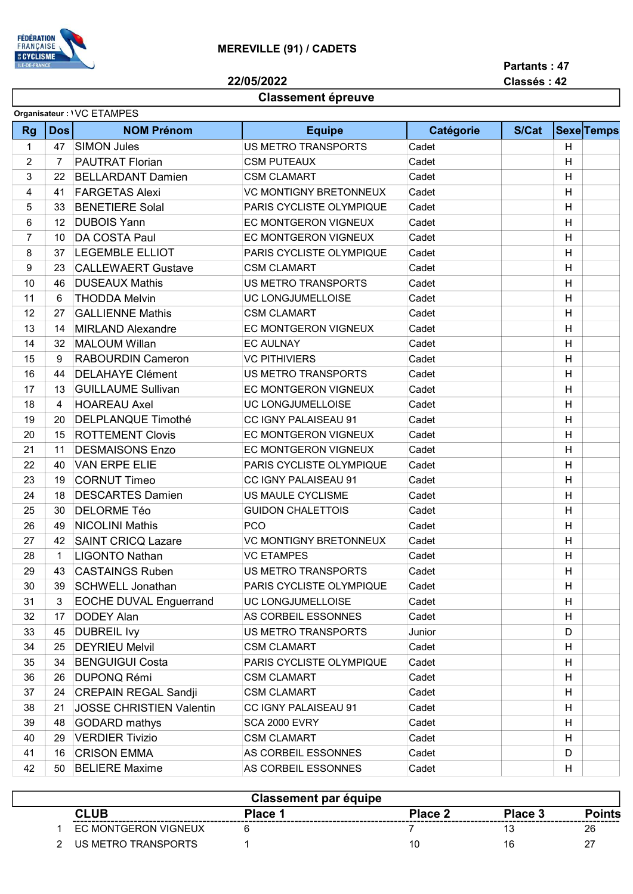

Partants : 47

Classés : 42

## 22/05/2022

## Classement épreuve

| <b>Rg</b> | <b>Dos</b>        | <b>NOM Prénom</b>               | <b>Equipe</b>                   | Catégorie | S/Cat | <b>Sexe</b> Temps |  |
|-----------|-------------------|---------------------------------|---------------------------------|-----------|-------|-------------------|--|
|           |                   |                                 |                                 |           |       |                   |  |
| 1         | 47                | <b>SIMON Jules</b>              | <b>US METRO TRANSPORTS</b>      | Cadet     |       | Н                 |  |
| 2         | 7                 | <b>PAUTRAT Florian</b>          | <b>CSM PUTEAUX</b>              | Cadet     |       | H                 |  |
| 3         | 22                | <b>BELLARDANT Damien</b>        | <b>CSM CLAMART</b>              | Cadet     |       | Н                 |  |
| 4         | 41                | <b>FARGETAS Alexi</b>           | <b>VC MONTIGNY BRETONNEUX</b>   | Cadet     |       | H                 |  |
| 5         | 33                | <b>BENETIERE Solal</b>          | <b>PARIS CYCLISTE OLYMPIQUE</b> | Cadet     |       | $\mathsf{H}$      |  |
| 6         | $12 \overline{ }$ | <b>DUBOIS Yann</b>              | <b>EC MONTGERON VIGNEUX</b>     | Cadet     |       | H                 |  |
| 7         | 10                | <b>DA COSTA Paul</b>            | <b>EC MONTGERON VIGNEUX</b>     | Cadet     |       | H                 |  |
| 8         | 37                | <b>LEGEMBLE ELLIOT</b>          | PARIS CYCLISTE OLYMPIQUE        | Cadet     |       | Н                 |  |
| 9         | 23                | <b>CALLEWAERT Gustave</b>       | <b>CSM CLAMART</b>              | Cadet     |       | H                 |  |
| 10        | 46                | <b>DUSEAUX Mathis</b>           | US METRO TRANSPORTS             | Cadet     |       | H                 |  |
| 11        | 6                 | <b>THODDA Melvin</b>            | UC LONGJUMELLOISE               | Cadet     |       | Н                 |  |
| 12        | 27                | <b>GALLIENNE Mathis</b>         | <b>CSM CLAMART</b>              | Cadet     |       | Н                 |  |
| 13        | 14                | <b>MIRLAND Alexandre</b>        | <b>EC MONTGERON VIGNEUX</b>     | Cadet     |       | H                 |  |
| 14        | 32                | <b>MALOUM Willan</b>            | <b>EC AULNAY</b>                | Cadet     |       | H                 |  |
| 15        | 9                 | <b>RABOURDIN Cameron</b>        | <b>VC PITHIVIERS</b>            | Cadet     |       | Н                 |  |
| 16        | 44                | <b>DELAHAYE Clément</b>         | US METRO TRANSPORTS             | Cadet     |       | H                 |  |
| 17        | 13                | <b>GUILLAUME Sullivan</b>       | EC MONTGERON VIGNEUX            | Cadet     |       | Н                 |  |
| 18        | 4                 | <b>HOAREAU Axel</b>             | <b>UC LONGJUMELLOISE</b>        | Cadet     |       | Н                 |  |
| 19        | 20                | <b>DELPLANQUE Timothé</b>       | CC IGNY PALAISEAU 91            | Cadet     |       | Н                 |  |
| 20        | 15                | <b>ROTTEMENT Clovis</b>         | <b>EC MONTGERON VIGNEUX</b>     | Cadet     |       | H                 |  |
| 21        | 11                | <b>DESMAISONS Enzo</b>          | <b>EC MONTGERON VIGNEUX</b>     | Cadet     |       | н                 |  |
| 22        | 40                | <b>VAN ERPE ELIE</b>            | PARIS CYCLISTE OLYMPIQUE        | Cadet     |       | Н                 |  |
| 23        | 19                | <b>CORNUT Timeo</b>             | <b>CC IGNY PALAISEAU 91</b>     | Cadet     |       | H                 |  |
| 24        | 18                | <b>DESCARTES Damien</b>         | US MAULE CYCLISME               | Cadet     |       | Н                 |  |
| 25        | 30                | <b>DELORME Téo</b>              | <b>GUIDON CHALETTOIS</b>        | Cadet     |       | Н                 |  |
| 26        | 49                | <b>NICOLINI Mathis</b>          | <b>PCO</b>                      | Cadet     |       | H                 |  |
| 27        | 42                | <b>SAINT CRICQ Lazare</b>       | <b>VC MONTIGNY BRETONNEUX</b>   | Cadet     |       | H                 |  |
| 28        | 1                 | <b>LIGONTO Nathan</b>           | <b>VC ETAMPES</b>               | Cadet     |       | H                 |  |
| 29        | 43                | <b>CASTAINGS Ruben</b>          | <b>US METRO TRANSPORTS</b>      | Cadet     |       | H                 |  |
| 30        | 39                | <b>SCHWELL Jonathan</b>         | PARIS CYCLISTE OLYMPIQUE        | Cadet     |       | $\sf H$           |  |
| 31        | 3                 | <b>EOCHE DUVAL Enguerrand</b>   | UC LONGJUMELLOISE               | Cadet     |       | н                 |  |
| 32        | 17                | <b>DODEY Alan</b>               | AS CORBEIL ESSONNES             | Cadet     |       | н                 |  |
| 33        | 45                | <b>DUBREIL Ivy</b>              | US METRO TRANSPORTS             | Junior    |       | D                 |  |
| 34        | 25                | <b>DEYRIEU Melvil</b>           | <b>CSM CLAMART</b>              | Cadet     |       | H                 |  |
| 35        | 34                | <b>BENGUIGUI Costa</b>          | PARIS CYCLISTE OLYMPIQUE        | Cadet     |       | H                 |  |
| 36        | 26                | <b>DUPONQ Rémi</b>              | <b>CSM CLAMART</b>              | Cadet     |       | н                 |  |
| 37        | 24                | <b>CREPAIN REGAL Sandji</b>     | <b>CSM CLAMART</b>              | Cadet     |       | н                 |  |
| 38        | 21                | <b>JOSSE CHRISTIEN Valentin</b> | CC IGNY PALAISEAU 91            | Cadet     |       | H                 |  |
| 39        | 48                | <b>GODARD</b> mathys            | SCA 2000 EVRY                   | Cadet     |       | H                 |  |
| 40        | 29                | <b>VERDIER Tivizio</b>          | <b>CSM CLAMART</b>              | Cadet     |       | н                 |  |
| 41        | 16                | <b>CRISON EMMA</b>              | AS CORBEIL ESSONNES             | Cadet     |       | D                 |  |
| 42        | 50                | <b>BELIERE Maxime</b>           | AS CORBEIL ESSONNES             | Cadet     |       | Н                 |  |

| <b>Classement par équipe</b> |                             |         |         |         |          |  |  |  |
|------------------------------|-----------------------------|---------|---------|---------|----------|--|--|--|
|                              | <b>CLUB</b>                 | Place 1 | Place 2 | Place 3 | oints    |  |  |  |
|                              | <b>EC MONTGERON VIGNEUX</b> |         |         |         | 26       |  |  |  |
|                              | US METRO TRANSPORTS         |         | 10      | 16      | <u>.</u> |  |  |  |